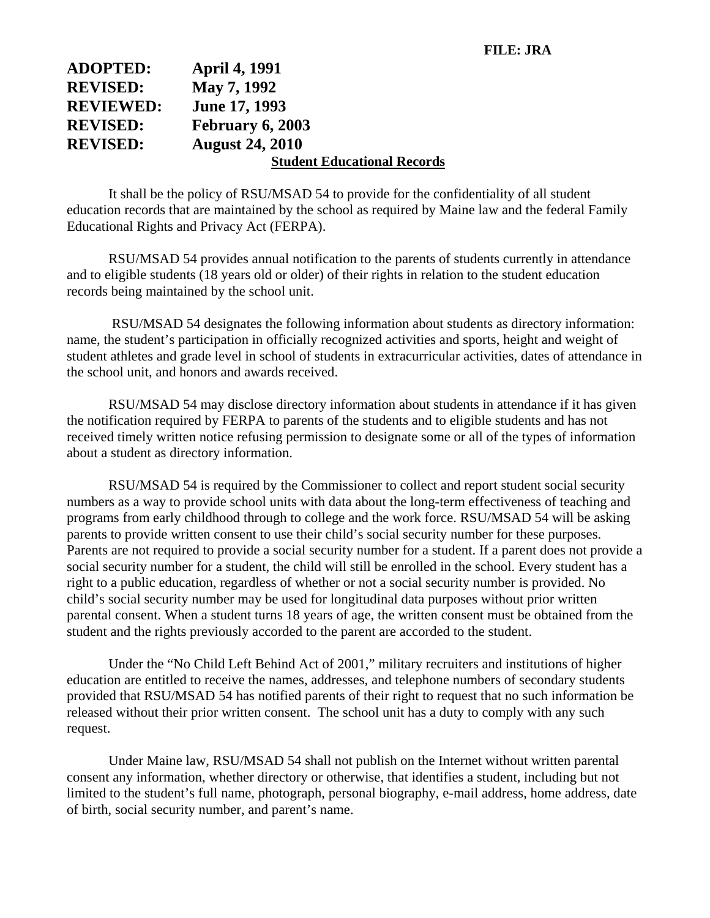| <b>ADOPTED:</b>  | <b>April 4, 1991</b>               |
|------------------|------------------------------------|
| <b>REVISED:</b>  | May 7, 1992                        |
| <b>REVIEWED:</b> | <b>June 17, 1993</b>               |
| <b>REVISED:</b>  | <b>February 6, 2003</b>            |
| <b>REVISED:</b>  | <b>August 24, 2010</b>             |
|                  | <b>Student Educational Records</b> |

It shall be the policy of RSU/MSAD 54 to provide for the confidentiality of all student education records that are maintained by the school as required by Maine law and the federal Family Educational Rights and Privacy Act (FERPA).

RSU/MSAD 54 provides annual notification to the parents of students currently in attendance and to eligible students (18 years old or older) of their rights in relation to the student education records being maintained by the school unit.

 RSU/MSAD 54 designates the following information about students as directory information: name, the student's participation in officially recognized activities and sports, height and weight of student athletes and grade level in school of students in extracurricular activities, dates of attendance in the school unit, and honors and awards received.

RSU/MSAD 54 may disclose directory information about students in attendance if it has given the notification required by FERPA to parents of the students and to eligible students and has not received timely written notice refusing permission to designate some or all of the types of information about a student as directory information.

RSU/MSAD 54 is required by the Commissioner to collect and report student social security numbers as a way to provide school units with data about the long-term effectiveness of teaching and programs from early childhood through to college and the work force. RSU/MSAD 54 will be asking parents to provide written consent to use their child's social security number for these purposes. Parents are not required to provide a social security number for a student. If a parent does not provide a social security number for a student, the child will still be enrolled in the school. Every student has a right to a public education, regardless of whether or not a social security number is provided. No child's social security number may be used for longitudinal data purposes without prior written parental consent. When a student turns 18 years of age, the written consent must be obtained from the student and the rights previously accorded to the parent are accorded to the student.

Under the "No Child Left Behind Act of 2001," military recruiters and institutions of higher education are entitled to receive the names, addresses, and telephone numbers of secondary students provided that RSU/MSAD 54 has notified parents of their right to request that no such information be released without their prior written consent. The school unit has a duty to comply with any such request.

Under Maine law, RSU/MSAD 54 shall not publish on the Internet without written parental consent any information, whether directory or otherwise, that identifies a student, including but not limited to the student's full name, photograph, personal biography, e-mail address, home address, date of birth, social security number, and parent's name.